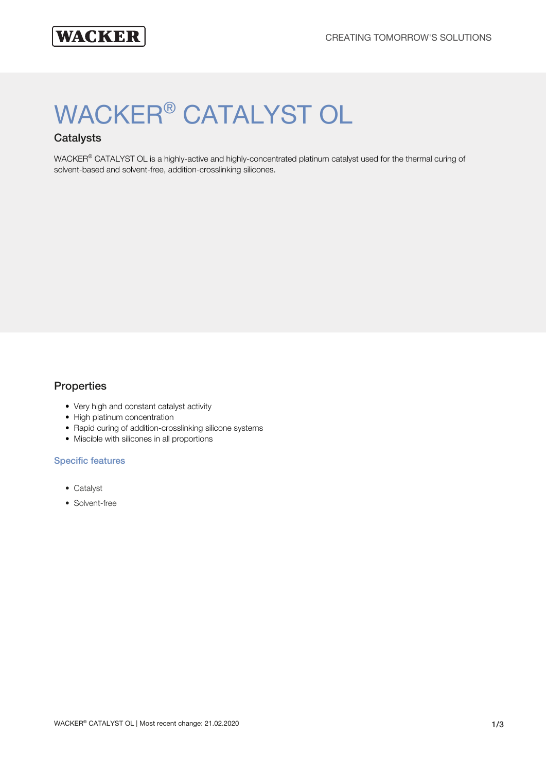# WACKER® CATALYST OL

# **Catalysts**

WACKER® CATALYST OL is a highly-active and highly-concentrated platinum catalyst used for the thermal curing of solvent-based and solvent-free, addition-crosslinking silicones.

#### **Properties**

- Very high and constant catalyst activity
- High platinum concentration
- Rapid curing of addition-crosslinking silicone systems
- Miscible with silicones in all proportions

#### Specific features

- Catalyst
- Solvent-free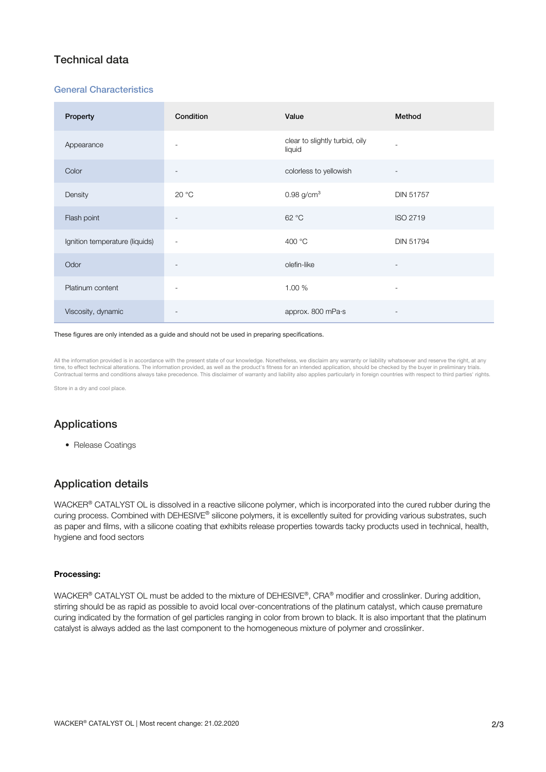# Technical data

#### General Characteristics

| Property                       | Condition                | Value                                    | Method                   |
|--------------------------------|--------------------------|------------------------------------------|--------------------------|
| Appearance                     | $\overline{\phantom{a}}$ | clear to slightly turbid, oily<br>liquid | ٠                        |
| Color                          | $\overline{\phantom{a}}$ | colorless to yellowish                   | $\overline{\phantom{a}}$ |
| Density                        | 20 °C                    | $0.98$ g/cm <sup>3</sup>                 | <b>DIN 51757</b>         |
| Flash point                    | $\overline{\phantom{a}}$ | 62 °C                                    | <b>ISO 2719</b>          |
| Ignition temperature (liquids) | $\overline{\phantom{a}}$ | 400 °C                                   | DIN 51794                |
| Odor                           | $\overline{\phantom{a}}$ | olefin-like                              |                          |
| Platinum content               | $\overline{\phantom{a}}$ | 1.00 %                                   | $\overline{\phantom{m}}$ |
| Viscosity, dynamic             |                          | approx. 800 mPa·s                        |                          |

#### These figures are only intended as a guide and should not be used in preparing specifications.

All the information provided is in accordance with the present state of our knowledge. Nonetheless, we disclaim any warranty or liability whatsoever and reserve the right, at any time, to effect technical alterations. The information provided, as well as the product's fitness for an intended application, should be checked by the buyer in preliminary trials Contractual terms and conditions always take precedence. This disclaimer of warranty and liability also applies particularly in foreign countries with respect to third parties' rights.

Store in a dry and cool place

# Applications

• Release Coatings

# Application details

WACKER® CATALYST OL is dissolved in a reactive silicone polymer, which is incorporated into the cured rubber during the curing process. Combined with DEHESIVE® silicone polymers, it is excellently suited for providing various substrates, such as paper and films, with a silicone coating that exhibits release properties towards tacky products used in technical, health, hygiene and food sectors

#### Processing:

WACKER® CATALYST OL must be added to the mixture of DEHESIVE®, CRA® modifier and crosslinker. During addition, stirring should be as rapid as possible to avoid local over-concentrations of the platinum catalyst, which cause premature curing indicated by the formation of gel particles ranging in color from brown to black. It is also important that the platinum catalyst is always added as the last component to the homogeneous mixture of polymer and crosslinker.